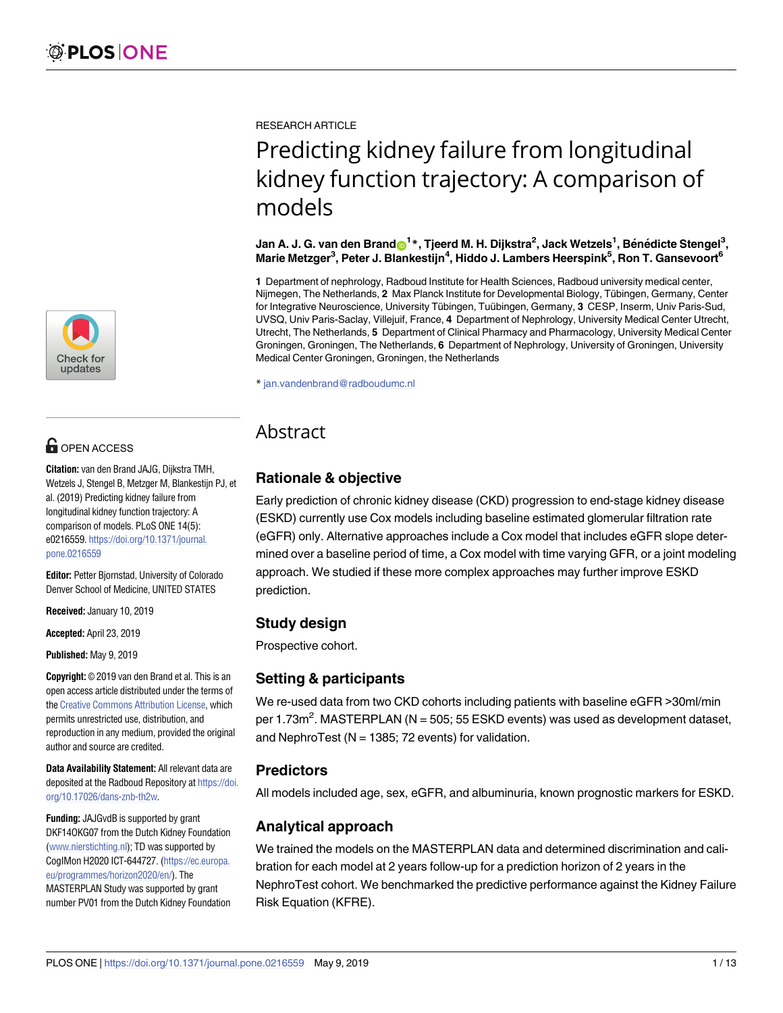

# **OPEN ACCESS**

**Citation:** van den Brand JAJG, Dijkstra TMH, Wetzels J, Stengel B, Metzger M, Blankestijn PJ, et al. (2019) Predicting kidney failure from longitudinal kidney function trajectory: A comparison of models. PLoS ONE 14(5): e0216559. [https://doi.org/10.1371/journal.](https://doi.org/10.1371/journal.pone.0216559) [pone.0216559](https://doi.org/10.1371/journal.pone.0216559)

**Editor:** Petter Bjornstad, University of Colorado Denver School of Medicine, UNITED STATES

**Received:** January 10, 2019

**Accepted:** April 23, 2019

**Published:** May 9, 2019

**Copyright:** © 2019 van den Brand et al. This is an open access article distributed under the terms of the Creative [Commons](http://creativecommons.org/licenses/by/4.0/) Attribution License, which permits unrestricted use, distribution, and reproduction in any medium, provided the original author and source are credited.

**Data Availability Statement:** All relevant data are deposited at the Radboud Repository at [https://doi.](https://doi.org/10.17026/dans-znb-th2w) [org/10.17026/dans-znb-th2w.](https://doi.org/10.17026/dans-znb-th2w)

**Funding:** JAJGvdB is supported by grant DKF14OKG07 from the Dutch Kidney Foundation [\(www.nierstichting.nl](http://www.nierstichting.nl)); TD was supported by CogIMon H2020 ICT-644727. [\(https://ec.europa.](https://ec.europa.eu/programmes/horizon2020/en/) [eu/programmes/horizon2020/en/](https://ec.europa.eu/programmes/horizon2020/en/)). The MASTERPLAN Study was supported by grant number PV01 from the Dutch Kidney Foundation RESEARCH ARTICLE

# Predicting kidney failure from longitudinal kidney function trajectory: A comparison of models

#### Jan A. J. G. van den Brand $\rm e^{1*}$ , Tjeerd M. H. Dijkstra<sup>2</sup>, Jack Wetzels<sup>1</sup>, Bénédicte Stengel<sup>3</sup>, **Marie Metzger3 , Peter J. Blankestijn4 , Hiddo J. Lambers Heerspink5 , Ron T. Gansevoort6**

**1** Department of nephrology, Radboud Institute for Health Sciences, Radboud university medical center, Nijmegen, The Netherlands, 2 Max Planck Institute for Developmental Biology, Tübingen, Germany, Center for Integrative Neuroscience, University Tübingen, Tuübingen, Germany, 3 CESP, Inserm, Univ Paris-Sud, UVSQ, Univ Paris-Saclay, Villejuif, France, **4** Department of Nephrology, University Medical Center Utrecht, Utrecht, The Netherlands, **5** Department of Clinical Pharmacy and Pharmacology, University Medical Center Groningen, Groningen, The Netherlands, **6** Department of Nephrology, University of Groningen, University Medical Center Groningen, Groningen, the Netherlands

\* jan.vandenbrand@radboudumc.nl

## Abstract

## **Rationale & objective**

Early prediction of chronic kidney disease (CKD) progression to end-stage kidney disease (ESKD) currently use Cox models including baseline estimated glomerular filtration rate (eGFR) only. Alternative approaches include a Cox model that includes eGFR slope determined over a baseline period of time, a Cox model with time varying GFR, or a joint modeling approach. We studied if these more complex approaches may further improve ESKD prediction.

## **Study design**

Prospective cohort.

## **Setting & participants**

We re-used data from two CKD cohorts including patients with baseline eGFR >30ml/min per 1.73m<sup>2</sup>. MASTERPLAN (N = 505; 55 ESKD events) was used as development dataset, and NephroTest ( $N = 1385$ ; 72 events) for validation.

## **Predictors**

All models included age, sex, eGFR, and albuminuria, known prognostic markers for ESKD.

## **Analytical approach**

We trained the models on the MASTERPLAN data and determined discrimination and calibration for each model at 2 years follow-up for a prediction horizon of 2 years in the NephroTest cohort. We benchmarked the predictive performance against the Kidney Failure Risk Equation (KFRE).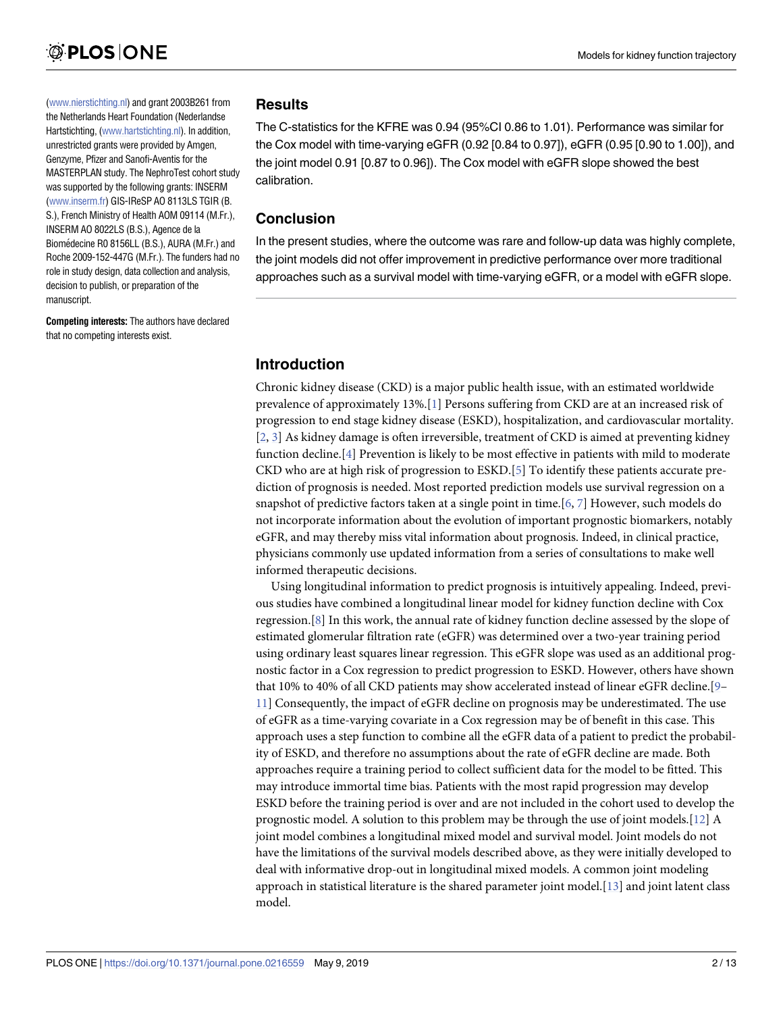<span id="page-1-0"></span>[\(www.nierstichting.nl](http://www.nierstichting.nl)) and grant 2003B261 from the Netherlands Heart Foundation (Nederlandse Hartstichting, [\(www.hartstichting.nl](http://www.hartstichting.nl)). In addition, unrestricted grants were provided by Amgen, Genzyme, Pfizer and Sanofi-Aventis for the MASTERPLAN study. The NephroTest cohort study was supported by the following grants: INSERM [\(www.inserm.fr](http://www.inserm.fr)) GIS-IReSP AO 8113LS TGIR (B. S.), French Ministry of Health AOM 09114 (M.Fr.), INSERM AO 8022LS (B.S.), Agence de la Biomédecine R0 8156LL (B.S.), AURA (M.Fr.) and Roche 2009-152-447G (M.Fr.). The funders had no role in study design, data collection and analysis, decision to publish, or preparation of the manuscript.

**Competing interests:** The authors have declared that no competing interests exist.

#### **Results**

The C-statistics for the KFRE was 0.94 (95%CI 0.86 to 1.01). Performance was similar for the Cox model with time-varying eGFR (0.92 [0.84 to 0.97]), eGFR (0.95 [0.90 to 1.00]), and the joint model 0.91 [0.87 to 0.96]). The Cox model with eGFR slope showed the best calibration.

## **Conclusion**

In the present studies, where the outcome was rare and follow-up data was highly complete, the joint models did not offer improvement in predictive performance over more traditional approaches such as a survival model with time-varying eGFR, or a model with eGFR slope.

## **Introduction**

Chronic kidney disease (CKD) is a major public health issue, with an estimated worldwide prevalence of approximately 13%.[\[1](#page-11-0)] Persons suffering from CKD are at an increased risk of progression to end stage kidney disease (ESKD), hospitalization, and cardiovascular mortality. [\[2](#page-11-0), [3](#page-11-0)] As kidney damage is often irreversible, treatment of CKD is aimed at preventing kidney function decline.[[4](#page-11-0)] Prevention is likely to be most effective in patients with mild to moderate CKD who are at high risk of progression to ESKD.[\[5](#page-11-0)] To identify these patients accurate prediction of prognosis is needed. Most reported prediction models use survival regression on a snapshot of predictive factors taken at a single point in time.[\[6,](#page-11-0) [7](#page-11-0)] However, such models do not incorporate information about the evolution of important prognostic biomarkers, notably eGFR, and may thereby miss vital information about prognosis. Indeed, in clinical practice, physicians commonly use updated information from a series of consultations to make well informed therapeutic decisions.

Using longitudinal information to predict prognosis is intuitively appealing. Indeed, previous studies have combined a longitudinal linear model for kidney function decline with Cox regression.[[8](#page-11-0)] In this work, the annual rate of kidney function decline assessed by the slope of estimated glomerular filtration rate (eGFR) was determined over a two-year training period using ordinary least squares linear regression. This eGFR slope was used as an additional prognostic factor in a Cox regression to predict progression to ESKD. However, others have shown that 10% to 40% of all CKD patients may show accelerated instead of linear eGFR decline.[[9–](#page-11-0) [11\]](#page-11-0) Consequently, the impact of eGFR decline on prognosis may be underestimated. The use of eGFR as a time-varying covariate in a Cox regression may be of benefit in this case. This approach uses a step function to combine all the eGFR data of a patient to predict the probability of ESKD, and therefore no assumptions about the rate of eGFR decline are made. Both approaches require a training period to collect sufficient data for the model to be fitted. This may introduce immortal time bias. Patients with the most rapid progression may develop ESKD before the training period is over and are not included in the cohort used to develop the prognostic model. A solution to this problem may be through the use of joint models.[\[12\]](#page-11-0) A joint model combines a longitudinal mixed model and survival model. Joint models do not have the limitations of the survival models described above, as they were initially developed to deal with informative drop-out in longitudinal mixed models. A common joint modeling approach in statistical literature is the shared parameter joint model.[[13](#page-11-0)] and joint latent class model.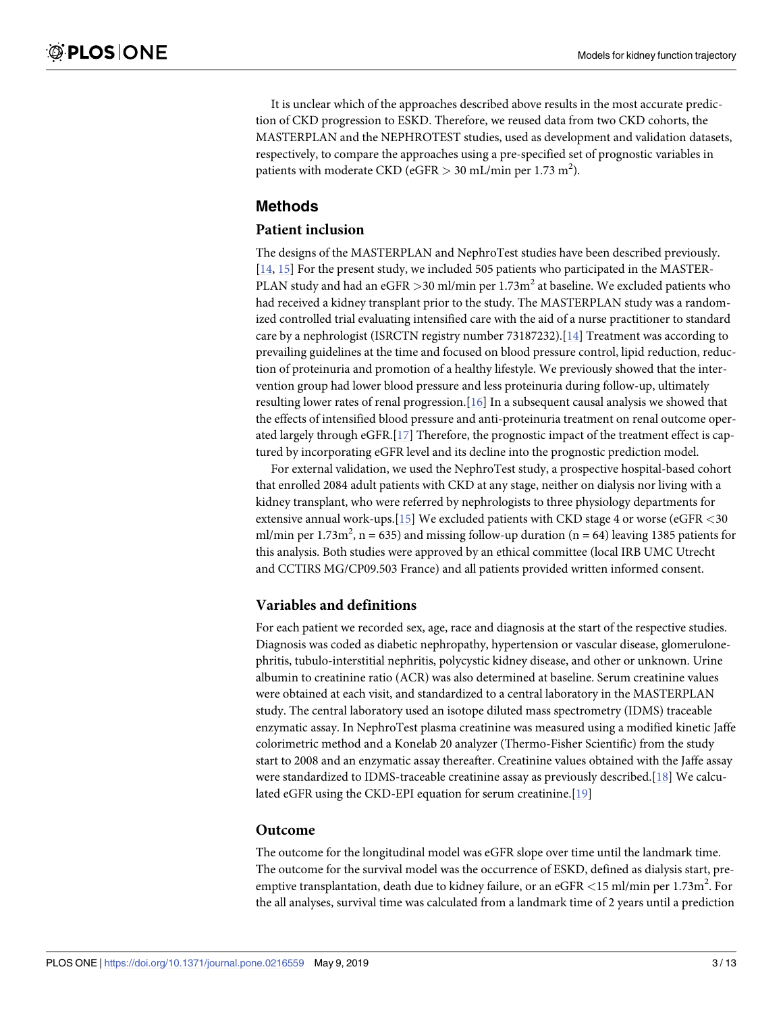<span id="page-2-0"></span>It is unclear which of the approaches described above results in the most accurate prediction of CKD progression to ESKD. Therefore, we reused data from two CKD cohorts, the MASTERPLAN and the NEPHROTEST studies, used as development and validation datasets, respectively, to compare the approaches using a pre-specified set of prognostic variables in patients with moderate CKD (eGFR > 30 mL/min per 1.73 m<sup>2</sup>).

## **Methods**

## **Patient inclusion**

The designs of the MASTERPLAN and NephroTest studies have been described previously. [\[14,](#page-11-0) [15\]](#page-11-0) For the present study, we included 505 patients who participated in the MASTER-PLAN study and had an eGFR  $>$ 30 ml/min per 1.73m<sup>2</sup> at baseline. We excluded patients who had received a kidney transplant prior to the study. The MASTERPLAN study was a randomized controlled trial evaluating intensified care with the aid of a nurse practitioner to standard care by a nephrologist (ISRCTN registry number 73187232).[\[14\]](#page-11-0) Treatment was according to prevailing guidelines at the time and focused on blood pressure control, lipid reduction, reduction of proteinuria and promotion of a healthy lifestyle. We previously showed that the intervention group had lower blood pressure and less proteinuria during follow-up, ultimately resulting lower rates of renal progression.[\[16\]](#page-11-0) In a subsequent causal analysis we showed that the effects of intensified blood pressure and anti-proteinuria treatment on renal outcome operated largely through eGFR.[[17](#page-12-0)] Therefore, the prognostic impact of the treatment effect is captured by incorporating eGFR level and its decline into the prognostic prediction model.

For external validation, we used the NephroTest study, a prospective hospital-based cohort that enrolled 2084 adult patients with CKD at any stage, neither on dialysis nor living with a kidney transplant, who were referred by nephrologists to three physiology departments for extensive annual work-ups.[\[15\]](#page-11-0) We excluded patients with CKD stage 4 or worse (eGFR *<*30 ml/min per 1.73m<sup>2</sup>, n = 635) and missing follow-up duration (n = 64) leaving 1385 patients for this analysis. Both studies were approved by an ethical committee (local IRB UMC Utrecht and CCTIRS MG/CP09.503 France) and all patients provided written informed consent.

## **Variables and definitions**

For each patient we recorded sex, age, race and diagnosis at the start of the respective studies. Diagnosis was coded as diabetic nephropathy, hypertension or vascular disease, glomerulonephritis, tubulo-interstitial nephritis, polycystic kidney disease, and other or unknown. Urine albumin to creatinine ratio (ACR) was also determined at baseline. Serum creatinine values were obtained at each visit, and standardized to a central laboratory in the MASTERPLAN study. The central laboratory used an isotope diluted mass spectrometry (IDMS) traceable enzymatic assay. In NephroTest plasma creatinine was measured using a modified kinetic Jaffe colorimetric method and a Konelab 20 analyzer (Thermo-Fisher Scientific) from the study start to 2008 and an enzymatic assay thereafter. Creatinine values obtained with the Jaffe assay were standardized to IDMS-traceable creatinine assay as previously described.[\[18\]](#page-12-0) We calculated eGFR using the CKD-EPI equation for serum creatinine.[\[19\]](#page-12-0)

#### **Outcome**

The outcome for the longitudinal model was eGFR slope over time until the landmark time. The outcome for the survival model was the occurrence of ESKD, defined as dialysis start, preemptive transplantation, death due to kidney failure, or an eGFR *<*15 ml/min per 1.73m<sup>2</sup> . For the all analyses, survival time was calculated from a landmark time of 2 years until a prediction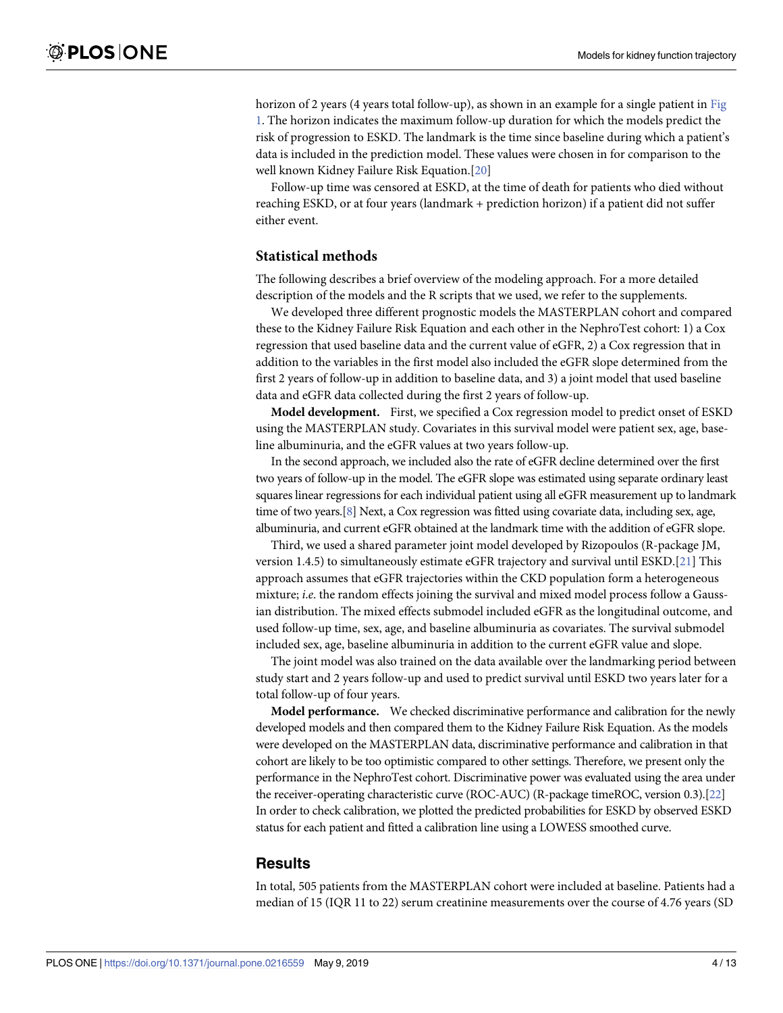<span id="page-3-0"></span>horizon of 2 years (4 years total follow-up), as shown in an example for a single patient in [Fig](#page-5-0) [1.](#page-5-0) The horizon indicates the maximum follow-up duration for which the models predict the risk of progression to ESKD. The landmark is the time since baseline during which a patient's data is included in the prediction model. These values were chosen in for comparison to the well known Kidney Failure Risk Equation.[[20\]](#page-12-0)

Follow-up time was censored at ESKD, at the time of death for patients who died without reaching ESKD, or at four years (landmark + prediction horizon) if a patient did not suffer either event.

#### **Statistical methods**

The following describes a brief overview of the modeling approach. For a more detailed description of the models and the R scripts that we used, we refer to the supplements.

We developed three different prognostic models the MASTERPLAN cohort and compared these to the Kidney Failure Risk Equation and each other in the NephroTest cohort: 1) a Cox regression that used baseline data and the current value of eGFR, 2) a Cox regression that in addition to the variables in the first model also included the eGFR slope determined from the first 2 years of follow-up in addition to baseline data, and 3) a joint model that used baseline data and eGFR data collected during the first 2 years of follow-up.

**Model development.** First, we specified a Cox regression model to predict onset of ESKD using the MASTERPLAN study. Covariates in this survival model were patient sex, age, baseline albuminuria, and the eGFR values at two years follow-up.

In the second approach, we included also the rate of eGFR decline determined over the first two years of follow-up in the model. The eGFR slope was estimated using separate ordinary least squares linear regressions for each individual patient using all eGFR measurement up to landmark time of two years.[\[8\]](#page-11-0) Next, a Cox regression was fitted using covariate data, including sex, age, albuminuria, and current eGFR obtained at the landmark time with the addition of eGFR slope.

Third, we used a shared parameter joint model developed by Rizopoulos (R-package JM, version 1.4.5) to simultaneously estimate eGFR trajectory and survival until ESKD.[[21](#page-12-0)] This approach assumes that eGFR trajectories within the CKD population form a heterogeneous mixture; *i*.*e*. the random effects joining the survival and mixed model process follow a Gaussian distribution. The mixed effects submodel included eGFR as the longitudinal outcome, and used follow-up time, sex, age, and baseline albuminuria as covariates. The survival submodel included sex, age, baseline albuminuria in addition to the current eGFR value and slope.

The joint model was also trained on the data available over the landmarking period between study start and 2 years follow-up and used to predict survival until ESKD two years later for a total follow-up of four years.

**Model performance.** We checked discriminative performance and calibration for the newly developed models and then compared them to the Kidney Failure Risk Equation. As the models were developed on the MASTERPLAN data, discriminative performance and calibration in that cohort are likely to be too optimistic compared to other settings. Therefore, we present only the performance in the NephroTest cohort. Discriminative power was evaluated using the area under the receiver-operating characteristic curve (ROC-AUC) (R-package timeROC, version 0.3).[\[22](#page-12-0)] In order to check calibration, we plotted the predicted probabilities for ESKD by observed ESKD status for each patient and fitted a calibration line using a LOWESS smoothed curve.

#### **Results**

In total, 505 patients from the MASTERPLAN cohort were included at baseline. Patients had a median of 15 (IQR 11 to 22) serum creatinine measurements over the course of 4.76 years (SD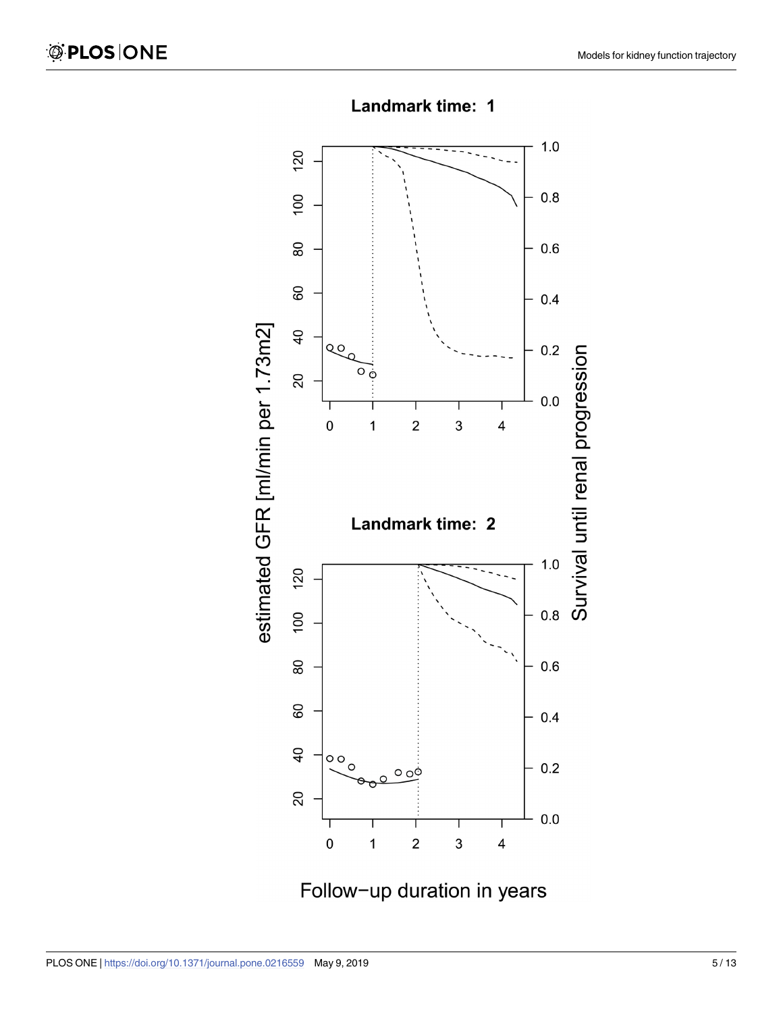

Landmark time: 1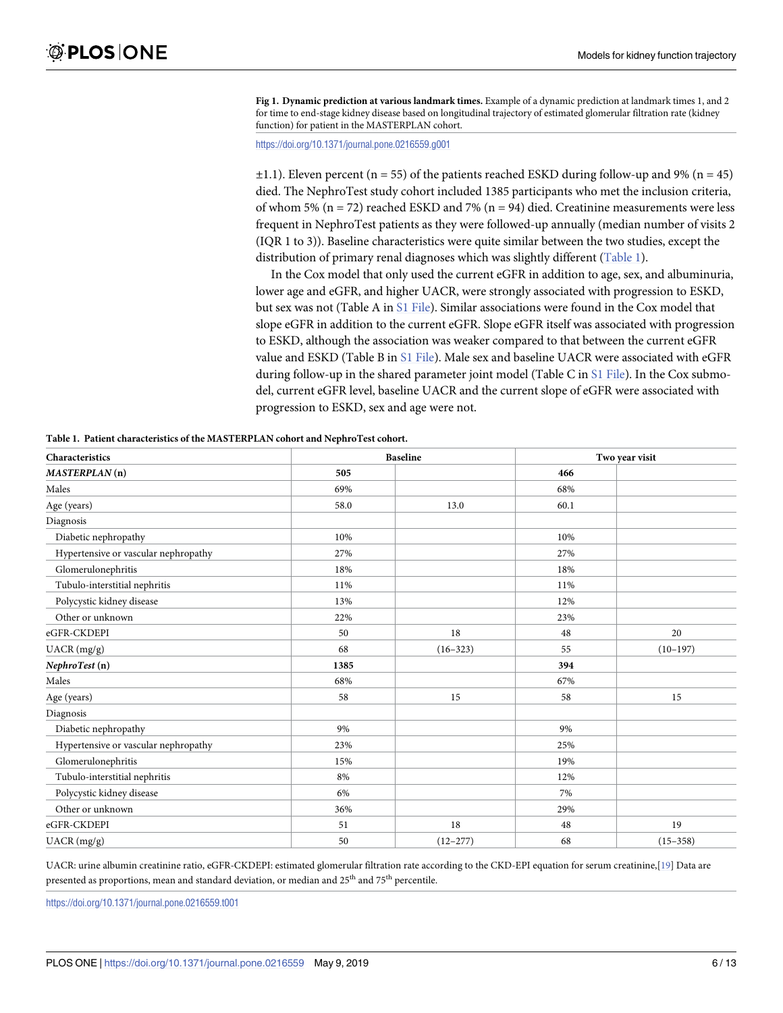<span id="page-5-0"></span>**[Fig](#page-3-0) 1. Dynamic prediction at various landmark times.** Example of a dynamic prediction at landmark times 1, and 2 for time to end-stage kidney disease based on longitudinal trajectory of estimated glomerular filtration rate (kidney function) for patient in the MASTERPLAN cohort.

<https://doi.org/10.1371/journal.pone.0216559.g001>

 $\pm$ 1.1). Eleven percent (n = 55) of the patients reached ESKD during follow-up and 9% (n = 45) died. The NephroTest study cohort included 1385 participants who met the inclusion criteria, of whom 5% ( $n = 72$ ) reached ESKD and 7% ( $n = 94$ ) died. Creatinine measurements were less frequent in NephroTest patients as they were followed-up annually (median number of visits 2 (IQR 1 to 3)). Baseline characteristics were quite similar between the two studies, except the distribution of primary renal diagnoses which was slightly different (Table 1).

In the Cox model that only used the current eGFR in addition to age, sex, and albuminuria, lower age and eGFR, and higher UACR, were strongly associated with progression to ESKD, but sex was not (Table A in S1 [File\)](#page-10-0). Similar associations were found in the Cox model that slope eGFR in addition to the current eGFR. Slope eGFR itself was associated with progression to ESKD, although the association was weaker compared to that between the current eGFR value and ESKD (Table B in S1 [File\)](#page-10-0). Male sex and baseline UACR were associated with eGFR during follow-up in the shared parameter joint model (Table C in S1 [File\)](#page-10-0). In the Cox submodel, current eGFR level, baseline UACR and the current slope of eGFR were associated with progression to ESKD, sex and age were not.

| Characteristics                      |      | <b>Baseline</b> | Two year visit |              |
|--------------------------------------|------|-----------------|----------------|--------------|
| MASTERPLAN(n)                        | 505  |                 | 466            |              |
| Males                                | 69%  |                 | 68%            |              |
| Age (years)                          | 58.0 | 13.0            | 60.1           |              |
| Diagnosis                            |      |                 |                |              |
| Diabetic nephropathy                 | 10%  |                 | 10%            |              |
| Hypertensive or vascular nephropathy | 27%  |                 | 27%            |              |
| Glomerulonephritis                   | 18%  |                 | 18%            |              |
| Tubulo-interstitial nephritis        | 11%  |                 | 11%            |              |
| Polycystic kidney disease            | 13%  |                 | 12%            |              |
| Other or unknown                     | 22%  |                 | 23%            |              |
| eGFR-CKDEPI                          | 50   | 18              | 48             | 20           |
| UACR (mg/g)                          | 68   | $(16 - 323)$    | 55             | $(10-197)$   |
| NephroTest (n)                       | 1385 |                 | 394            |              |
| Males                                | 68%  |                 | 67%            |              |
| Age (years)                          | 58   | 15              | 58             | 15           |
| Diagnosis                            |      |                 |                |              |
| Diabetic nephropathy                 | 9%   |                 | 9%             |              |
| Hypertensive or vascular nephropathy | 23%  |                 | 25%            |              |
| Glomerulonephritis                   | 15%  |                 | 19%            |              |
| Tubulo-interstitial nephritis        | 8%   |                 | 12%            |              |
| Polycystic kidney disease            | 6%   |                 | 7%             |              |
| Other or unknown                     | 36%  |                 | 29%            |              |
| eGFR-CKDEPI                          | 51   | 18              | 48             | 19           |
| $UACR$ (mg/g)                        | 50   | $(12 - 277)$    | 68             | $(15 - 358)$ |

**Table 1. Patient characteristics of the MASTERPLAN cohort and NephroTest cohort.**

UACR: urine albumin creatinine ratio, eGFR-CKDEPI: estimated glomerular filtration rate according to the CKD-EPI equation for serum creatinine,[[19\]](#page-12-0) Data are presented as proportions, mean and standard deviation, or median and 25<sup>th</sup> and 75<sup>th</sup> percentile.

<https://doi.org/10.1371/journal.pone.0216559.t001>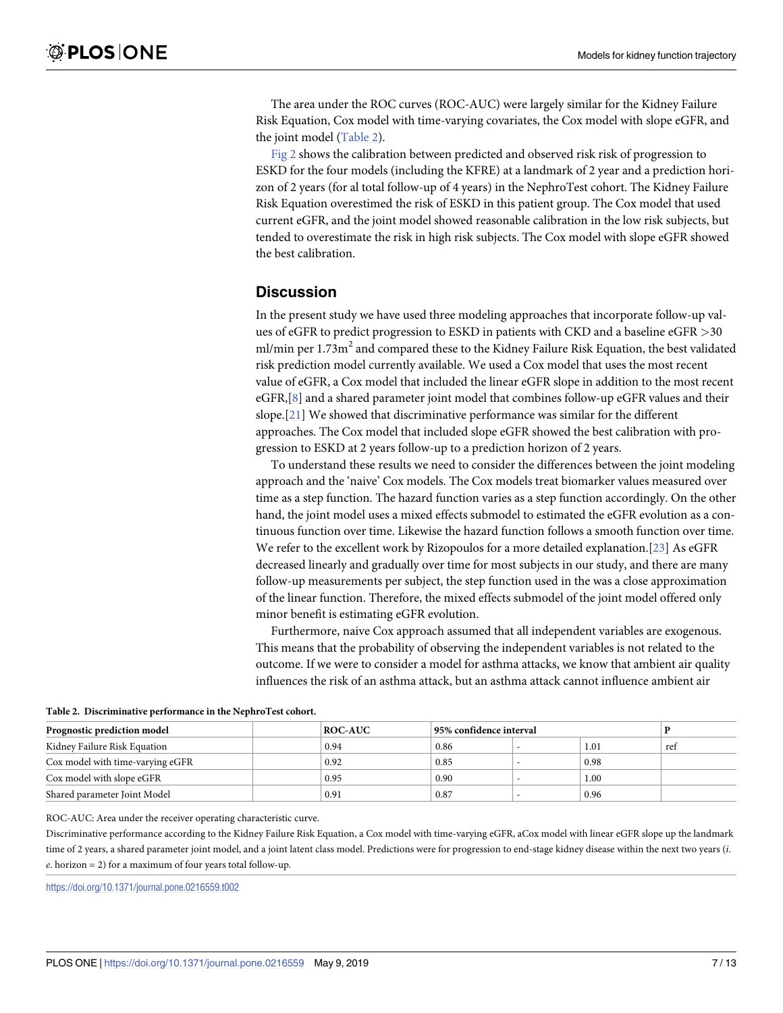<span id="page-6-0"></span>The area under the ROC curves (ROC-AUC) were largely similar for the Kidney Failure Risk Equation, Cox model with time-varying covariates, the Cox model with slope eGFR, and the joint model (Table 2).

[Fig](#page-7-0)  $2$  shows the calibration between predicted and observed risk risk of progression to ESKD for the four models (including the KFRE) at a landmark of 2 year and a prediction horizon of 2 years (for al total follow-up of 4 years) in the NephroTest cohort. The Kidney Failure Risk Equation overestimed the risk of ESKD in this patient group. The Cox model that used current eGFR, and the joint model showed reasonable calibration in the low risk subjects, but tended to overestimate the risk in high risk subjects. The Cox model with slope eGFR showed the best calibration.

### **Discussion**

In the present study we have used three modeling approaches that incorporate follow-up values of eGFR to predict progression to ESKD in patients with CKD and a baseline eGFR *>*30 ml/min per  $1.73\text{m}^2$  and compared these to the Kidney Failure Risk Equation, the best validated risk prediction model currently available. We used a Cox model that uses the most recent value of eGFR, a Cox model that included the linear eGFR slope in addition to the most recent eGFR,[[8](#page-11-0)] and a shared parameter joint model that combines follow-up eGFR values and their slope.[\[21\]](#page-12-0) We showed that discriminative performance was similar for the different approaches. The Cox model that included slope eGFR showed the best calibration with progression to ESKD at 2 years follow-up to a prediction horizon of 2 years.

To understand these results we need to consider the differences between the joint modeling approach and the 'naive' Cox models. The Cox models treat biomarker values measured over time as a step function. The hazard function varies as a step function accordingly. On the other hand, the joint model uses a mixed effects submodel to estimated the eGFR evolution as a continuous function over time. Likewise the hazard function follows a smooth function over time. We refer to the excellent work by Rizopoulos for a more detailed explanation.[[23](#page-12-0)] As eGFR decreased linearly and gradually over time for most subjects in our study, and there are many follow-up measurements per subject, the step function used in the was a close approximation of the linear function. Therefore, the mixed effects submodel of the joint model offered only minor benefit is estimating eGFR evolution.

Furthermore, naive Cox approach assumed that all independent variables are exogenous. This means that the probability of observing the independent variables is not related to the outcome. If we were to consider a model for asthma attacks, we know that ambient air quality influences the risk of an asthma attack, but an asthma attack cannot influence ambient air

| Prognostic prediction model      |  | <b>ROC-AUC</b> | 95% confidence interval |  |          |     |  |  |  |
|----------------------------------|--|----------------|-------------------------|--|----------|-----|--|--|--|
| Kidney Failure Risk Equation     |  | 0.94           | 0.86                    |  | 1.01     | ref |  |  |  |
| Cox model with time-varying eGFR |  | 0.92           | 0.85                    |  | 0.98     |     |  |  |  |
| Cox model with slope eGFR        |  | 0.95           | 0.90                    |  | $1.00\,$ |     |  |  |  |
| Shared parameter Joint Model     |  | 0.91           | 0.87                    |  | 0.96     |     |  |  |  |

**Table 2. Discriminative performance in the NephroTest cohort.**

ROC-AUC: Area under the receiver operating characteristic curve.

Discriminative performance according to the Kidney Failure Risk Equation, a Cox model with time-varying eGFR, aCox model with linear eGFR slope up the landmark time of 2 years, a shared parameter joint model, and a joint latent class model. Predictions were for progression to end-stage kidney disease within the next two years (*i*. *e*. horizon = 2) for a maximum of four years total follow-up.

<https://doi.org/10.1371/journal.pone.0216559.t002>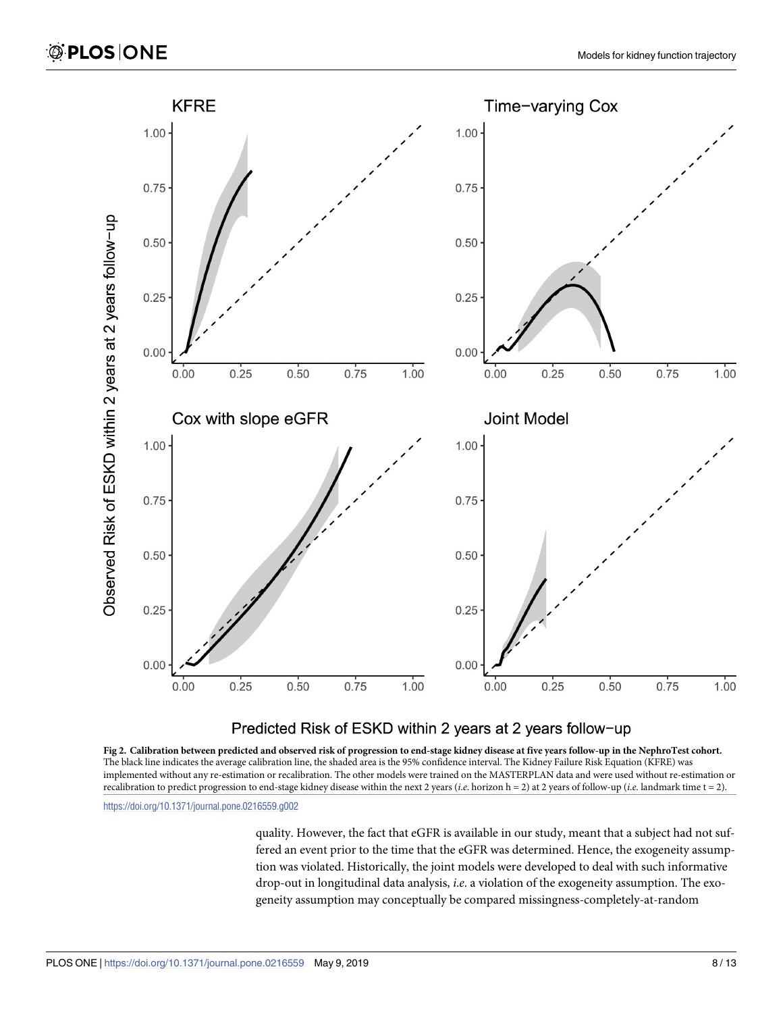<span id="page-7-0"></span>

#### Predicted Risk of ESKD within 2 years at 2 years follow-up

[Fig](#page-6-0) 2. Calibration between predicted and observed risk of progression to end-stage kidney disease at five years follow-up in the NephroTest cohort. The black line indicates the average calibration line, the shaded area is the 95% confidence interval. The Kidney Failure Risk Equation (KFRE) was implemented without any re-estimation or recalibration. The other models were trained on the MASTERPLAN data and were used without re-estimation or recalibration to predict progression to end-stage kidney disease within the next 2 years (*i*.*e*. horizon h = 2) at 2 years of follow-up (*i*.*e*. landmark time t = 2).

<https://doi.org/10.1371/journal.pone.0216559.g002>

quality. However, the fact that eGFR is available in our study, meant that a subject had not suffered an event prior to the time that the eGFR was determined. Hence, the exogeneity assumption was violated. Historically, the joint models were developed to deal with such informative drop-out in longitudinal data analysis, *i*.*e*. a violation of the exogeneity assumption. The exogeneity assumption may conceptually be compared missingness-completely-at-random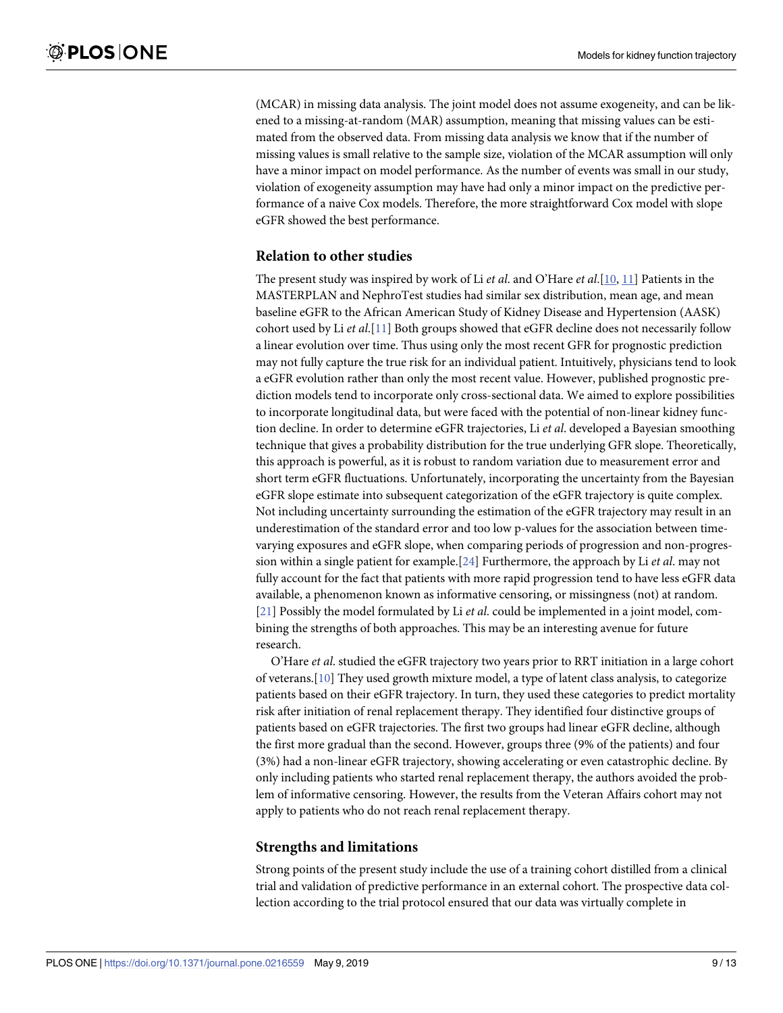<span id="page-8-0"></span>(MCAR) in missing data analysis. The joint model does not assume exogeneity, and can be likened to a missing-at-random (MAR) assumption, meaning that missing values can be estimated from the observed data. From missing data analysis we know that if the number of missing values is small relative to the sample size, violation of the MCAR assumption will only have a minor impact on model performance. As the number of events was small in our study, violation of exogeneity assumption may have had only a minor impact on the predictive performance of a naive Cox models. Therefore, the more straightforward Cox model with slope eGFR showed the best performance.

#### **Relation to other studies**

The present study was inspired by work of Li *et al*. and O'Hare *et al*.[[10](#page-11-0), [11](#page-11-0)] Patients in the MASTERPLAN and NephroTest studies had similar sex distribution, mean age, and mean baseline eGFR to the African American Study of Kidney Disease and Hypertension (AASK) cohort used by Li *et al*.[\[11\]](#page-11-0) Both groups showed that eGFR decline does not necessarily follow a linear evolution over time. Thus using only the most recent GFR for prognostic prediction may not fully capture the true risk for an individual patient. Intuitively, physicians tend to look a eGFR evolution rather than only the most recent value. However, published prognostic prediction models tend to incorporate only cross-sectional data. We aimed to explore possibilities to incorporate longitudinal data, but were faced with the potential of non-linear kidney function decline. In order to determine eGFR trajectories, Li *et al*. developed a Bayesian smoothing technique that gives a probability distribution for the true underlying GFR slope. Theoretically, this approach is powerful, as it is robust to random variation due to measurement error and short term eGFR fluctuations. Unfortunately, incorporating the uncertainty from the Bayesian eGFR slope estimate into subsequent categorization of the eGFR trajectory is quite complex. Not including uncertainty surrounding the estimation of the eGFR trajectory may result in an underestimation of the standard error and too low p-values for the association between timevarying exposures and eGFR slope, when comparing periods of progression and non-progression within a single patient for example.[[24](#page-12-0)] Furthermore, the approach by Li *et al*. may not fully account for the fact that patients with more rapid progression tend to have less eGFR data available, a phenomenon known as informative censoring, or missingness (not) at random. [\[21\]](#page-12-0) Possibly the model formulated by Li *et al*. could be implemented in a joint model, combining the strengths of both approaches. This may be an interesting avenue for future research.

O'Hare *et al*. studied the eGFR trajectory two years prior to RRT initiation in a large cohort of veterans.[[10](#page-11-0)] They used growth mixture model, a type of latent class analysis, to categorize patients based on their eGFR trajectory. In turn, they used these categories to predict mortality risk after initiation of renal replacement therapy. They identified four distinctive groups of patients based on eGFR trajectories. The first two groups had linear eGFR decline, although the first more gradual than the second. However, groups three (9% of the patients) and four (3%) had a non-linear eGFR trajectory, showing accelerating or even catastrophic decline. By only including patients who started renal replacement therapy, the authors avoided the problem of informative censoring. However, the results from the Veteran Affairs cohort may not apply to patients who do not reach renal replacement therapy.

#### **Strengths and limitations**

Strong points of the present study include the use of a training cohort distilled from a clinical trial and validation of predictive performance in an external cohort. The prospective data collection according to the trial protocol ensured that our data was virtually complete in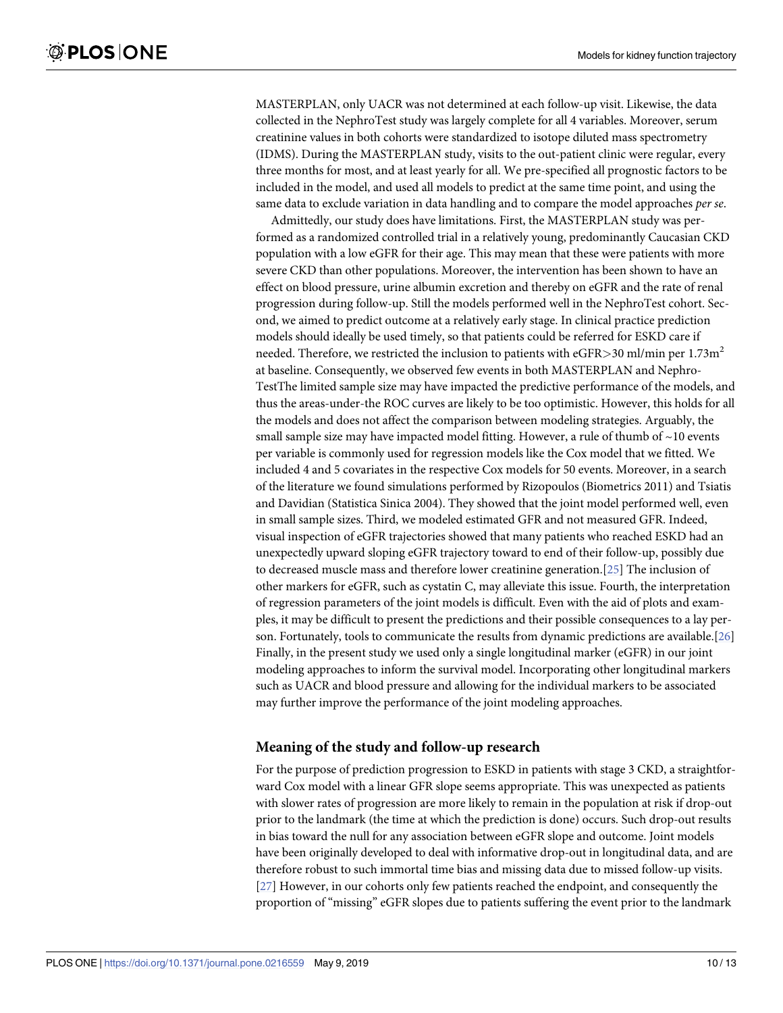<span id="page-9-0"></span>MASTERPLAN, only UACR was not determined at each follow-up visit. Likewise, the data collected in the NephroTest study was largely complete for all 4 variables. Moreover, serum creatinine values in both cohorts were standardized to isotope diluted mass spectrometry (IDMS). During the MASTERPLAN study, visits to the out-patient clinic were regular, every three months for most, and at least yearly for all. We pre-specified all prognostic factors to be included in the model, and used all models to predict at the same time point, and using the same data to exclude variation in data handling and to compare the model approaches *per se*.

Admittedly, our study does have limitations. First, the MASTERPLAN study was performed as a randomized controlled trial in a relatively young, predominantly Caucasian CKD population with a low eGFR for their age. This may mean that these were patients with more severe CKD than other populations. Moreover, the intervention has been shown to have an effect on blood pressure, urine albumin excretion and thereby on eGFR and the rate of renal progression during follow-up. Still the models performed well in the NephroTest cohort. Second, we aimed to predict outcome at a relatively early stage. In clinical practice prediction models should ideally be used timely, so that patients could be referred for ESKD care if needed. Therefore, we restricted the inclusion to patients with eGFR $>$ 30 ml/min per 1.73m<sup>2</sup> at baseline. Consequently, we observed few events in both MASTERPLAN and Nephro-TestThe limited sample size may have impacted the predictive performance of the models, and thus the areas-under-the ROC curves are likely to be too optimistic. However, this holds for all the models and does not affect the comparison between modeling strategies. Arguably, the small sample size may have impacted model fitting. However, a rule of thumb of  $\sim$ 10 events per variable is commonly used for regression models like the Cox model that we fitted. We included 4 and 5 covariates in the respective Cox models for 50 events. Moreover, in a search of the literature we found simulations performed by Rizopoulos (Biometrics 2011) and Tsiatis and Davidian (Statistica Sinica 2004). They showed that the joint model performed well, even in small sample sizes. Third, we modeled estimated GFR and not measured GFR. Indeed, visual inspection of eGFR trajectories showed that many patients who reached ESKD had an unexpectedly upward sloping eGFR trajectory toward to end of their follow-up, possibly due to decreased muscle mass and therefore lower creatinine generation.[[25](#page-12-0)] The inclusion of other markers for eGFR, such as cystatin C, may alleviate this issue. Fourth, the interpretation of regression parameters of the joint models is difficult. Even with the aid of plots and examples, it may be difficult to present the predictions and their possible consequences to a lay person. Fortunately, tools to communicate the results from dynamic predictions are available.[[26](#page-12-0)] Finally, in the present study we used only a single longitudinal marker (eGFR) in our joint modeling approaches to inform the survival model. Incorporating other longitudinal markers such as UACR and blood pressure and allowing for the individual markers to be associated may further improve the performance of the joint modeling approaches.

#### **Meaning of the study and follow-up research**

For the purpose of prediction progression to ESKD in patients with stage 3 CKD, a straightforward Cox model with a linear GFR slope seems appropriate. This was unexpected as patients with slower rates of progression are more likely to remain in the population at risk if drop-out prior to the landmark (the time at which the prediction is done) occurs. Such drop-out results in bias toward the null for any association between eGFR slope and outcome. Joint models have been originally developed to deal with informative drop-out in longitudinal data, and are therefore robust to such immortal time bias and missing data due to missed follow-up visits. [\[27\]](#page-12-0) However, in our cohorts only few patients reached the endpoint, and consequently the proportion of "missing" eGFR slopes due to patients suffering the event prior to the landmark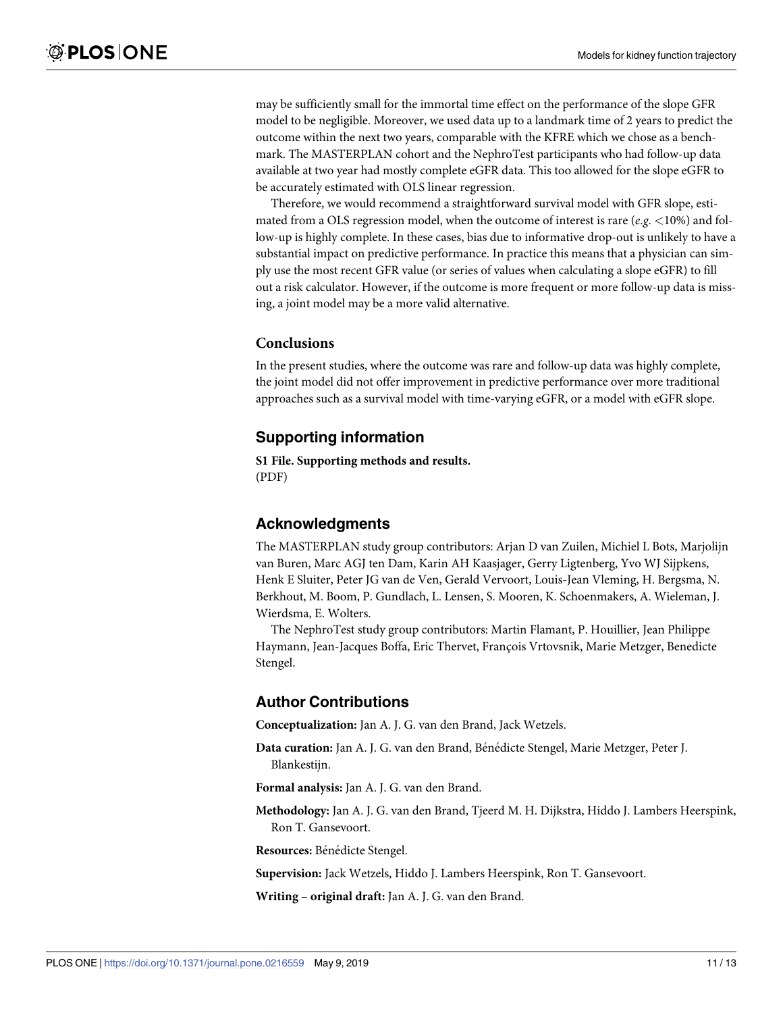<span id="page-10-0"></span>may be sufficiently small for the immortal time effect on the performance of the slope GFR model to be negligible. Moreover, we used data up to a landmark time of 2 years to predict the outcome within the next two years, comparable with the KFRE which we chose as a benchmark. The MASTERPLAN cohort and the NephroTest participants who had follow-up data available at two year had mostly complete eGFR data. This too allowed for the slope eGFR to be accurately estimated with OLS linear regression.

Therefore, we would recommend a straightforward survival model with GFR slope, estimated from a OLS regression model, when the outcome of interest is rare (*e*.*g*. *<*10%) and follow-up is highly complete. In these cases, bias due to informative drop-out is unlikely to have a substantial impact on predictive performance. In practice this means that a physician can simply use the most recent GFR value (or series of values when calculating a slope eGFR) to fill out a risk calculator. However, if the outcome is more frequent or more follow-up data is missing, a joint model may be a more valid alternative.

#### **Conclusions**

In the present studies, where the outcome was rare and follow-up data was highly complete, the joint model did not offer improvement in predictive performance over more traditional approaches such as a survival model with time-varying eGFR, or a model with eGFR slope.

## **Supporting information**

**S1 [File.](http://www.plosone.org/article/fetchSingleRepresentation.action?uri=info:doi/10.1371/journal.pone.0216559.s001) Supporting methods and results.** (PDF)

#### **Acknowledgments**

The MASTERPLAN study group contributors: Arjan D van Zuilen, Michiel L Bots, Marjolijn van Buren, Marc AGJ ten Dam, Karin AH Kaasjager, Gerry Ligtenberg, Yvo WJ Sijpkens, Henk E Sluiter, Peter JG van de Ven, Gerald Vervoort, Louis-Jean Vleming, H. Bergsma, N. Berkhout, M. Boom, P. Gundlach, L. Lensen, S. Mooren, K. Schoenmakers, A. Wieleman, J. Wierdsma, E. Wolters.

The NephroTest study group contributors: Martin Flamant, P. Houillier, Jean Philippe Haymann, Jean-Jacques Boffa, Eric Thervet, François Vrtovsnik, Marie Metzger, Benedicte Stengel.

## **Author Contributions**

**Conceptualization:** Jan A. J. G. van den Brand, Jack Wetzels.

- **Data curation:** Jan A. J. G. van den Brand, Bénédicte Stengel, Marie Metzger, Peter J. Blankestijn.
- **Formal analysis:** Jan A. J. G. van den Brand.
- **Methodology:** Jan A. J. G. van den Brand, Tjeerd M. H. Dijkstra, Hiddo J. Lambers Heerspink, Ron T. Gansevoort.

**Resources:** Bénédicte Stengel.

**Supervision:** Jack Wetzels, Hiddo J. Lambers Heerspink, Ron T. Gansevoort.

**Writing – original draft:** Jan A. J. G. van den Brand.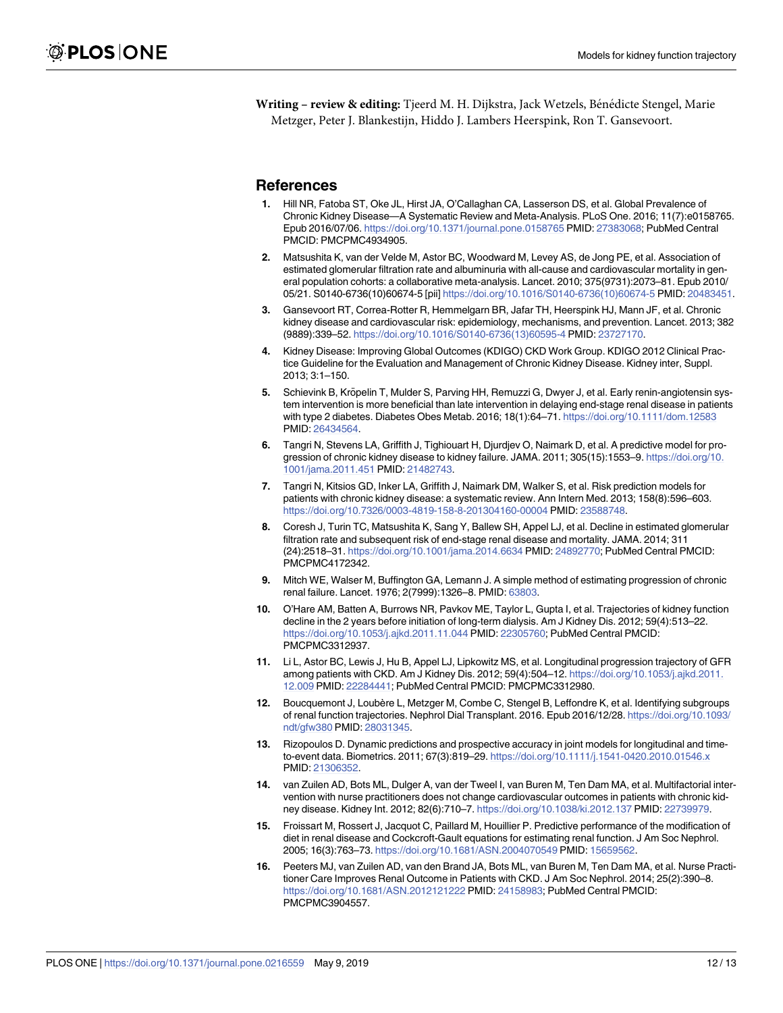<span id="page-11-0"></span>**Writing – review & editing:** Tjeerd M. H. Dijkstra, Jack Wetzels, Bénédicte Stengel, Marie Metzger, Peter J. Blankestijn, Hiddo J. Lambers Heerspink, Ron T. Gansevoort.

#### **References**

- **[1](#page-1-0).** Hill NR, Fatoba ST, Oke JL, Hirst JA, O'Callaghan CA, Lasserson DS, et al. Global Prevalence of Chronic Kidney Disease—A Systematic Review and Meta-Analysis. PLoS One. 2016; 11(7):e0158765. Epub 2016/07/06. <https://doi.org/10.1371/journal.pone.0158765> PMID: [27383068;](http://www.ncbi.nlm.nih.gov/pubmed/27383068) PubMed Central PMCID: PMCPMC4934905.
- **[2](#page-1-0).** Matsushita K, van der Velde M, Astor BC, Woodward M, Levey AS, de Jong PE, et al. Association of estimated glomerular filtration rate and albuminuria with all-cause and cardiovascular mortality in general population cohorts: a collaborative meta-analysis. Lancet. 2010; 375(9731):2073–81. Epub 2010/ 05/21. S0140-6736(10)60674-5 [pii] [https://doi.org/10.1016/S0140-6736\(10\)60674-5](https://doi.org/10.1016/S0140-6736(10)60674-5) PMID: [20483451.](http://www.ncbi.nlm.nih.gov/pubmed/20483451)
- **[3](#page-1-0).** Gansevoort RT, Correa-Rotter R, Hemmelgarn BR, Jafar TH, Heerspink HJ, Mann JF, et al. Chronic kidney disease and cardiovascular risk: epidemiology, mechanisms, and prevention. Lancet. 2013; 382 (9889):339–52. [https://doi.org/10.1016/S0140-6736\(13\)60595-4](https://doi.org/10.1016/S0140-6736(13)60595-4) PMID: [23727170.](http://www.ncbi.nlm.nih.gov/pubmed/23727170)
- **[4](#page-1-0).** Kidney Disease: Improving Global Outcomes (KDIGO) CKD Work Group. KDIGO 2012 Clinical Practice Guideline for the Evaluation and Management of Chronic Kidney Disease. Kidney inter, Suppl. 2013; 3:1–150.
- **[5](#page-1-0).** Schievink B, Kröpelin T, Mulder S, Parving HH, Remuzzi G, Dwyer J, et al. Early renin-angiotensin system intervention is more beneficial than late intervention in delaying end-stage renal disease in patients with type 2 diabetes. Diabetes Obes Metab. 2016; 18(1):64–71. <https://doi.org/10.1111/dom.12583> PMID: [26434564](http://www.ncbi.nlm.nih.gov/pubmed/26434564).
- **[6](#page-1-0).** Tangri N, Stevens LA, Griffith J, Tighiouart H, Djurdjev O, Naimark D, et al. A predictive model for progression of chronic kidney disease to kidney failure. JAMA. 2011; 305(15):1553–9. [https://doi.org/10.](https://doi.org/10.1001/jama.2011.451) [1001/jama.2011.451](https://doi.org/10.1001/jama.2011.451) PMID: [21482743.](http://www.ncbi.nlm.nih.gov/pubmed/21482743)
- **[7](#page-1-0).** Tangri N, Kitsios GD, Inker LA, Griffith J, Naimark DM, Walker S, et al. Risk prediction models for patients with chronic kidney disease: a systematic review. Ann Intern Med. 2013; 158(8):596–603. <https://doi.org/10.7326/0003-4819-158-8-201304160-00004> PMID: [23588748.](http://www.ncbi.nlm.nih.gov/pubmed/23588748)
- **[8](#page-1-0).** Coresh J, Turin TC, Matsushita K, Sang Y, Ballew SH, Appel LJ, et al. Decline in estimated glomerular filtration rate and subsequent risk of end-stage renal disease and mortality. JAMA. 2014; 311 (24):2518–31. <https://doi.org/10.1001/jama.2014.6634> PMID: [24892770](http://www.ncbi.nlm.nih.gov/pubmed/24892770); PubMed Central PMCID: PMCPMC4172342.
- **[9](#page-1-0).** Mitch WE, Walser M, Buffington GA, Lemann J. A simple method of estimating progression of chronic renal failure. Lancet. 1976; 2(7999):1326–8. PMID: [63803.](http://www.ncbi.nlm.nih.gov/pubmed/63803)
- **[10](#page-8-0).** O'Hare AM, Batten A, Burrows NR, Pavkov ME, Taylor L, Gupta I, et al. Trajectories of kidney function decline in the 2 years before initiation of long-term dialysis. Am J Kidney Dis. 2012; 59(4):513–22. <https://doi.org/10.1053/j.ajkd.2011.11.044> PMID: [22305760;](http://www.ncbi.nlm.nih.gov/pubmed/22305760) PubMed Central PMCID: PMCPMC3312937.
- **[11](#page-1-0).** Li L, Astor BC, Lewis J, Hu B, Appel LJ, Lipkowitz MS, et al. Longitudinal progression trajectory of GFR among patients with CKD. Am J Kidney Dis. 2012; 59(4):504–12. [https://doi.org/10.1053/j.ajkd.2011.](https://doi.org/10.1053/j.ajkd.2011.12.009) [12.009](https://doi.org/10.1053/j.ajkd.2011.12.009) PMID: [22284441;](http://www.ncbi.nlm.nih.gov/pubmed/22284441) PubMed Central PMCID: PMCPMC3312980.
- **[12](#page-1-0).** Boucquemont J, Loubère L, Metzger M, Combe C, Stengel B, Leffondre K, et al. Identifying subgroups of renal function trajectories. Nephrol Dial Transplant. 2016. Epub 2016/12/28. [https://doi.org/10.1093/](https://doi.org/10.1093/ndt/gfw380) [ndt/gfw380](https://doi.org/10.1093/ndt/gfw380) PMID: [28031345](http://www.ncbi.nlm.nih.gov/pubmed/28031345).
- **[13](#page-1-0).** Rizopoulos D. Dynamic predictions and prospective accuracy in joint models for longitudinal and timeto-event data. Biometrics. 2011; 67(3):819–29. <https://doi.org/10.1111/j.1541-0420.2010.01546.x> PMID: [21306352](http://www.ncbi.nlm.nih.gov/pubmed/21306352).
- **[14](#page-2-0).** van Zuilen AD, Bots ML, Dulger A, van der Tweel I, van Buren M, Ten Dam MA, et al. Multifactorial intervention with nurse practitioners does not change cardiovascular outcomes in patients with chronic kidney disease. Kidney Int. 2012; 82(6):710–7. <https://doi.org/10.1038/ki.2012.137> PMID: [22739979.](http://www.ncbi.nlm.nih.gov/pubmed/22739979)
- **[15](#page-2-0).** Froissart M, Rossert J, Jacquot C, Paillard M, Houillier P. Predictive performance of the modification of diet in renal disease and Cockcroft-Gault equations for estimating renal function. J Am Soc Nephrol. 2005; 16(3):763–73. <https://doi.org/10.1681/ASN.2004070549> PMID: [15659562.](http://www.ncbi.nlm.nih.gov/pubmed/15659562)
- **[16](#page-2-0).** Peeters MJ, van Zuilen AD, van den Brand JA, Bots ML, van Buren M, Ten Dam MA, et al. Nurse Practitioner Care Improves Renal Outcome in Patients with CKD. J Am Soc Nephrol. 2014; 25(2):390–8. <https://doi.org/10.1681/ASN.2012121222> PMID: [24158983](http://www.ncbi.nlm.nih.gov/pubmed/24158983); PubMed Central PMCID: PMCPMC3904557.